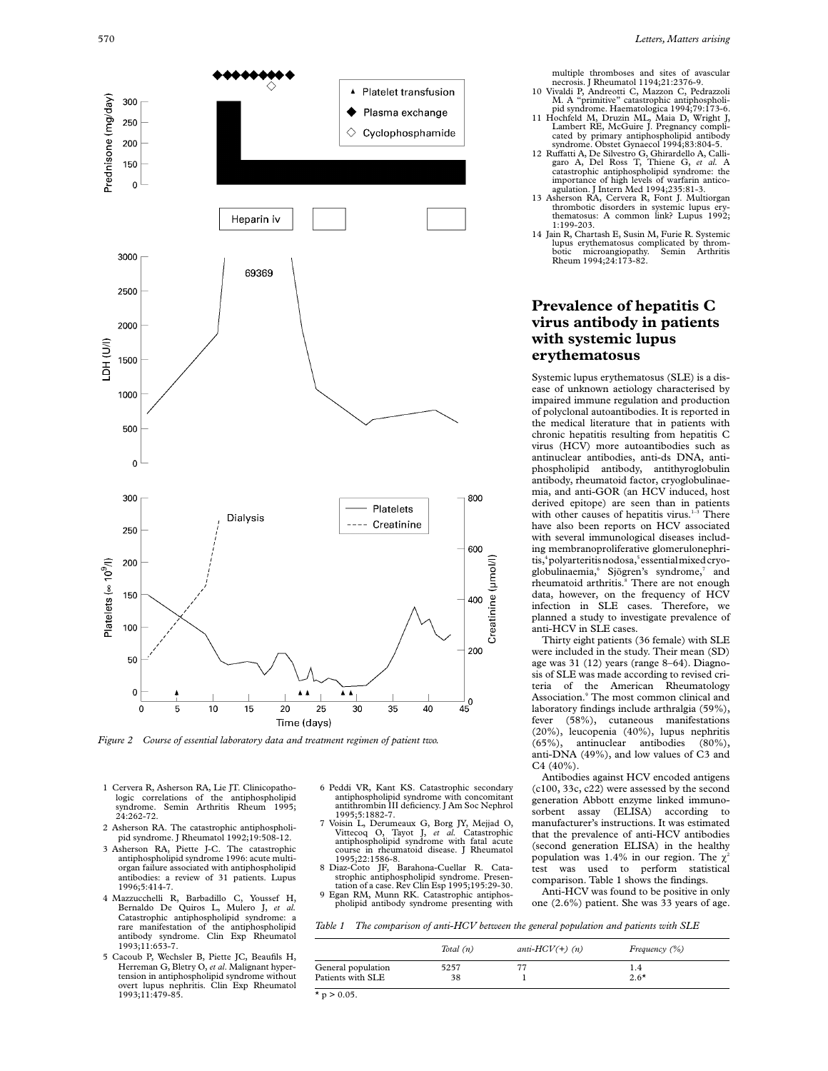

*Figure 2 Course of essential laboratory data and treatment regimen of patient two.*

- 1 Cervera R, Asherson RA, Lie JT. Clinicopathologic correlations of the antiphospholipid Semin Arthritis Rheum 1995; 24:262-72.
- 2 Asherson RA. The catastrophic antiphospholipid syndrome. J Rheumatol 1992;19:508-12.
- 3 Asherson RA, Piette J-C. The catastrophic antiphospholipid syndrome 1996: acute multiorgan failure associated with antiphospholipid antibodies: a review of 31 patients. Lupus 1996;5:414-7.
- 4 Mazzucchelli R, Barbadillo C, Youssef H, Bernaldo De Quiros L, Mulero J, *et al.* Catastrophic antiphospholipid syndrome: a rare manifestation of the antiphospholipid antibody syndrome. Clin Exp Rheumatol 1993;11:653-7.
- 5 Cacoub P, Wechsler B, Piette JC, Beaufils H, Herreman G, Bletry O, *et al*. Malignant hypertension in antiphospholipid syndrome without overt lupus nephritis. Clin Exp Rheumatol 1993;11:479-85.
- 6 Peddi VR, Kant KS. Catastrophic secondary antiphospholipid syndrome with concomitant<br>antithrombin III deficiency. J Am Soc Nephrol 1995;5:1882-7.
- 7 Voisin L, Derumeaux G, Borg JY, Mejjad O, Vittecoq O, Tayot J, *et al.* Catastrophic antiphospholipid syndrome with fatal acute course in rheumatoid disease. J Rheumatol 1995;22:1586-8.
- 8 Diaz-Coto JF, Barahona-Cuellar R. Catastrophic antiphospholipid syndrome. Presen-tation of a case. Rev Clin Esp 1995;195:29-30.
- 9 Egan RM, Munn RK. Catastrophic antiphospholipid antibody syndrome presenting with
- *Table 1 The comparison of anti-HCV between the general population and patients with SLE*
- *Total (n) anti-HCV(+) (n) Frequency (%)* General population  $5257$  77 1.4<br>Patients with SLE 38 1 2.6\* Patients with SLE 38 2.6 1

 $*$  p > 0.05.

multiple thromboses and sites of avascular necrosis. J Rheumatol 1194;21:2376-9.

- 10 Vivaldi P, Andreotti C, Mazzon C, Pedrazzoli
- M. A "primitive" catastrophic antiphospholi-pid syndrome. Haematologica 1994;79:173-6. 11 Hochfeld M, Druzin ML, Maia D, Wright J, Lambert RE, McGuire J. Pregnancy complicated by primary antiphospholipid antibody
- syndrome. Obstet Gynaecol 1994;83:804-5.<br>12 Ruffatti A, De Silvestro G, Ghirardello A, Calli-<br>garo A, Del Ross T, Thiene G, *et al.*<br>catastrophic antiphospholipid syndrome: the<br>catastrophic antiphospholipid syndrome: the importance of high levels of warfarin antico-agulation. J Intern Med 1994;235:81-3. 13 Asherson RA, Cervera R, Font J. Multiorgan thrombotic disorders in systemic lupus ery-
- thematosus: A common link? Lupus 1992; 1:199-203.
- 14 Jain R, Chartash E, Susin M, Furie R. Systemic lupus erythematosus complicated by thrombotic microangiopathy. Semin Arthritis Rheum 1994;24:173-82.

## **Prevalence of hepatitis C virus antibody in patients with systemic lupus erythematosus**

Systemic lupus erythematosus (SLE) is a disease of unknown aetiology characterised by impaired immune regulation and production of polyclonal autoantibodies. It is reported in the medical literature that in patients with chronic hepatitis resulting from hepatitis C virus (HCV) more autoantibodies such as antinuclear antibodies, anti-ds DNA, antiphospholipid antibody, antithyroglobulin antibody, rheumatoid factor, cryoglobulinaemia, and anti-GOR (an HCV induced, host derived epitope) are seen than in patients with other causes of hepatitis virus.<sup>1-3</sup> There have also been reports on HCV associated with several immunological diseases including membranoproliferative glomerulonephritis,<sup>4</sup> polyarteritis nodosa,<sup>5</sup> essential mixed cryoglobulinaemia, Sjögren's syndrome,<sup>7</sup> and rheumatoid arthritis.<sup>8</sup> There are not enough data, however, on the frequency of HCV infection in SLE cases. Therefore, we planned a study to investigate prevalence of anti-HCV in SLE cases.

Thirty eight patients (36 female) with SLE were included in the study. Their mean (SD) age was 31 (12) years (range 8–64). Diagnosis of SLE was made according to revised criteria of the American Rheumatology Association.9 The most common clinical and laboratory findings include arthralgia (59%), fever (58%), cutaneous manifestations (20%), leucopenia (40%), lupus nephritis (65%), antinuclear antibodies (80%), (65%), antinuclear antibodies (80%), anti-DNA (49%), and low values of C3 and C4 (40%).

Antibodies against HCV encoded antigens (c100, 33c, c22) were assessed by the second generation Abbott enzyme linked immunosorbent assay (ELISA) according to manufacturer's instructions. It was estimated that the prevalence of anti-HCV antibodies (second generation ELISA) in the healthy population was 1.4% in our region. The  $\chi^2$ test was used to perform statistical comparison. Table 1 shows the findings.

Anti-HCV was found to be positive in only one (2.6%) patient. She was 33 years of age.